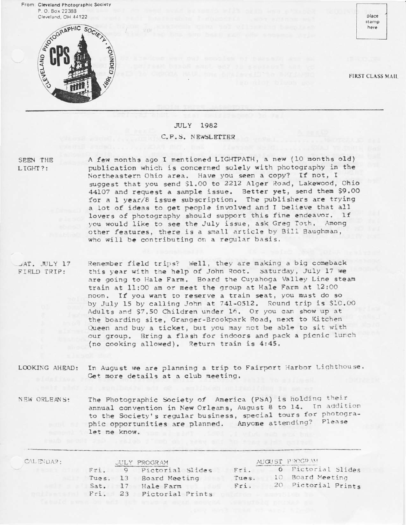From: Cleveland Photographic Society P.O. Box 22388 Cleveland, OH 44122



place stamp here

**FIRST CLASS MAIL** 

## **JULY** 1982 C.P.S. NEWSLETTER

SEEN THE LIGHT?:

A few months ago I mentioned LIGHTPATH, a new (10 months old) publication which is concerned solely with photography in the Northeastern Ohio area. Have you seen a copy? If not, I suggest that you send \$1.00 to 2212 Alger Road, Lakewood, Ohio 44107 and request a sample issue. Better yet, send them \$9.00 for a 1 year/8 issue subscription. The publishers are trying a lot of ideas to get people involved and I believe that all lovers of photography should support this fine endeavor. If you would like to see the July issue, ask Greg Toth. Among other features, there is a small article by Bill Baughman, who will be contributing on a regular basis.

JAT. JULY 17 FIELD TRIP:

Remember field trips? Well, they are making a big comeback this year with the help of John Root. Saturday, July 17 we are going to Hale Farm. Board the Cuyahoga Valley Line steam train at 11:00 am or meet the group at Hale Farm at 12:00 noon. If you want to reserve a train seat, you must do so by July 15 by calling John at 741-0512. Round trip is \$10.00 Adults and \$7,50 Children under 16. Or you can show up at the boarding site, Granger-Brookpark Road, next to Kitchen Queen and buy a ticket, but you may not be able to sit with our group. Bring a flash for indoors and pack a picnic lunch (no cooking allowed). Return train is 4:45.

In August we are planning a trip to Fairport Harbor Lighthouse. LOOKING AHEAD: Get more details at a club meeting.

The Photographic Society of America (PSA) is holding their NEW ORLEANS: annual convention in New Orleans, August 8 to 14. In addition to the Society's regular business, special tours for photographic opportunities are planned. Anyone attending? Please let me know.

| CALE:DAR: | JULY PROGRAM |    |                        | AUGUST PROGRAM |  |                     |
|-----------|--------------|----|------------------------|----------------|--|---------------------|
|           | $Fr$ .       |    | 9 Pictorial Slides     | Fri.           |  | 6 Pictorial Slides  |
|           |              |    | Tues, 13 Board Meeting | Tues.          |  | 10 Board Meeting    |
|           | Sat.         | 17 | Hale Farm              | Fri.           |  | 20 Pictorial Prints |
|           | Fri.         |    | 23 Pictorial Prints    |                |  |                     |